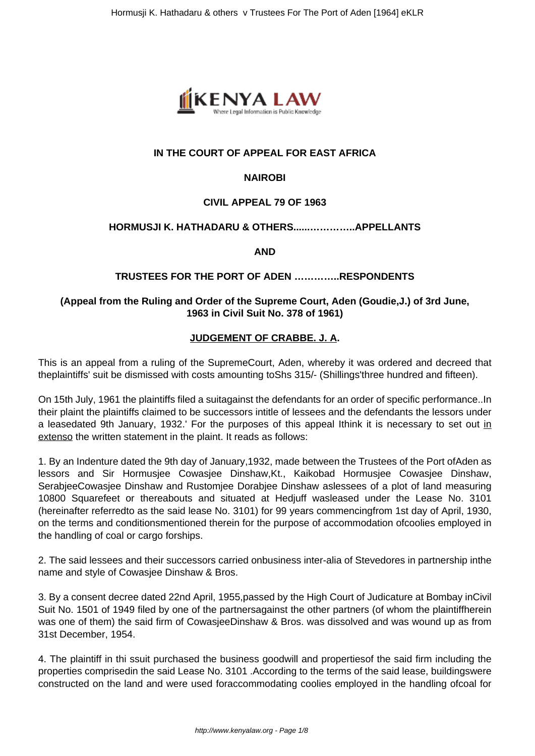

# **IN THE COURT OF APPEAL FOR EAST AFRICA**

## **NAIROBI**

# **CIVIL APPEAL 79 OF 1963**

## **HORMUSJI K. HATHADARU & OTHERS......…………..APPELLANTS**

**AND**

# **TRUSTEES FOR THE PORT OF ADEN …………..RESPONDENTS**

# **(Appeal from the Ruling and Order of the Supreme Court, Aden (Goudie,J.) of 3rd June, 1963 in Civil Suit No. 378 of 1961)**

# **JUDGEMENT OF CRABBE. J. A.**

This is an appeal from a ruling of the SupremeCourt, Aden, whereby it was ordered and decreed that theplaintiffs' suit be dismissed with costs amounting toShs 315/- (Shillings'three hundred and fifteen).

On 15th July, 1961 the plaintiffs filed a suitagainst the defendants for an order of specific performance..In their plaint the plaintiffs claimed to be successors intitle of lessees and the defendants the lessors under a leasedated 9th January, 1932.' For the purposes of this appeal Ithink it is necessary to set out in extenso the written statement in the plaint. It reads as follows:

1. By an Indenture dated the 9th day of January,1932, made between the Trustees of the Port ofAden as lessors and Sir Hormusjee Cowasjee Dinshaw,Kt., Kaikobad Hormusjee Cowasjee Dinshaw, SerabjeeCowasjee Dinshaw and Rustomjee Dorabjee Dinshaw aslessees of a plot of land measuring 10800 Squarefeet or thereabouts and situated at Hedjuff wasleased under the Lease No. 3101 (hereinafter referredto as the said lease No. 3101) for 99 years commencingfrom 1st day of April, 1930, on the terms and conditionsmentioned therein for the purpose of accommodation ofcoolies employed in the handling of coal or cargo forships.

2. The said lessees and their successors carried onbusiness inter-alia of Stevedores in partnership inthe name and style of Cowasjee Dinshaw & Bros.

3. By a consent decree dated 22nd April, 1955,passed by the High Court of Judicature at Bombay inCivil Suit No. 1501 of 1949 filed by one of the partnersagainst the other partners (of whom the plaintiffherein was one of them) the said firm of CowasjeeDinshaw & Bros. was dissolved and was wound up as from 31st December, 1954.

4. The plaintiff in thi ssuit purchased the business goodwill and propertiesof the said firm including the properties comprisedin the said Lease No. 3101 .According to the terms of the said lease, buildingswere constructed on the land and were used foraccommodating coolies employed in the handling ofcoal for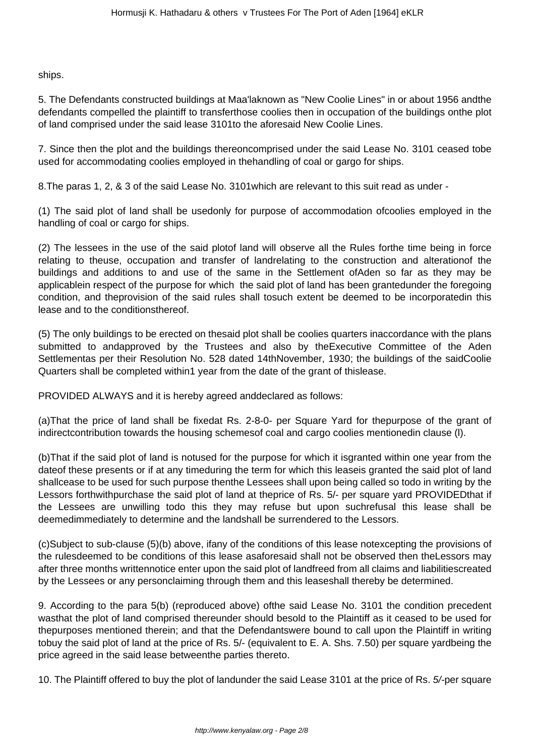ships.

5. The Defendants constructed buildings at Maa'laknown as "New Coolie Lines" in or about 1956 andthe defendants compelled the plaintiff to transferthose coolies then in occupation of the buildings onthe plot of land comprised under the said lease 3101to the aforesaid New Coolie Lines.

7. Since then the plot and the buildings thereoncomprised under the said Lease No. 3101 ceased tobe used for accommodating coolies employed in thehandling of coal or gargo for ships.

8.The paras 1, 2, & 3 of the said Lease No. 3101which are relevant to this suit read as under -

(1) The said plot of land shall be usedonly for purpose of accommodation ofcoolies employed in the handling of coal or cargo for ships.

(2) The lessees in the use of the said plotof land will observe all the Rules forthe time being in force relating to theuse, occupation and transfer of landrelating to the construction and alterationof the buildings and additions to and use of the same in the Settlement ofAden so far as they may be applicablein respect of the purpose for which the said plot of land has been grantedunder the foregoing condition, and theprovision of the said rules shall tosuch extent be deemed to be incorporatedin this lease and to the conditionsthereof.

(5) The only buildings to be erected on thesaid plot shall be coolies quarters inaccordance with the plans submitted to andapproved by the Trustees and also by theExecutive Committee of the Aden Settlementas per their Resolution No. 528 dated 14thNovember, 1930; the buildings of the saidCoolie Quarters shall be completed within1 year from the date of the grant of thislease.

PROVIDED ALWAYS and it is hereby agreed anddeclared as follows:

(a)That the price of land shall be fixedat Rs. 2-8-0- per Square Yard for thepurpose of the grant of indirectcontribution towards the housing schemesof coal and cargo coolies mentionedin clause (l).

(b)That if the said plot of land is notused for the purpose for which it isgranted within one year from the dateof these presents or if at any timeduring the term for which this leaseis granted the said plot of land shallcease to be used for such purpose thenthe Lessees shall upon being called so todo in writing by the Lessors forthwithpurchase the said plot of land at theprice of Rs. 5/- per square yard PROVIDEDthat if the Lessees are unwilling todo this they may refuse but upon suchrefusal this lease shall be deemedimmediately to determine and the landshall be surrendered to the Lessors.

(c)Subject to sub-clause (5)(b) above, ifany of the conditions of this lease notexcepting the provisions of the rulesdeemed to be conditions of this lease asaforesaid shall not be observed then theLessors may after three months writtennotice enter upon the said plot of landfreed from all claims and liabilitiescreated by the Lessees or any personclaiming through them and this leaseshall thereby be determined.

9. According to the para 5(b) (reproduced above) ofthe said Lease No. 3101 the condition precedent wasthat the plot of land comprised thereunder should besold to the Plaintiff as it ceased to be used for thepurposes mentioned therein; and that the Defendantswere bound to call upon the Plaintiff in writing tobuy the said plot of land at the price of Rs. 5/- (equivalent to E. A. Shs. 7.50) per square yardbeing the price agreed in the said lease betweenthe parties thereto.

10. The Plaintiff offered to buy the plot of landunder the said Lease 3101 at the price of Rs. 5/-per square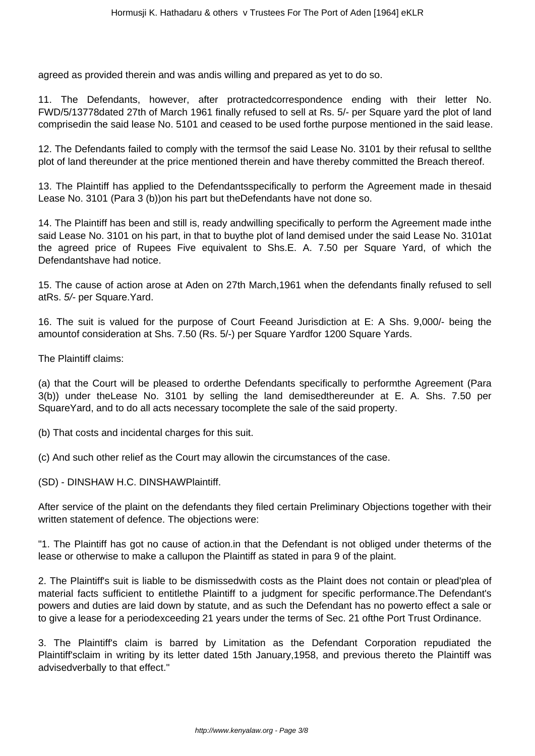agreed as provided therein and was andis willing and prepared as yet to do so.

11. The Defendants, however, after protractedcorrespondence ending with their letter No. FWD/5/13778dated 27th of March 1961 finally refused to sell at Rs. 5/- per Square yard the plot of land comprisedin the said lease No. 5101 and ceased to be used forthe purpose mentioned in the said lease.

12. The Defendants failed to comply with the termsof the said Lease No. 3101 by their refusal to sellthe plot of land thereunder at the price mentioned therein and have thereby committed the Breach thereof.

13. The Plaintiff has applied to the Defendantsspecifically to perform the Agreement made in thesaid Lease No. 3101 (Para 3 (b))on his part but theDefendants have not done so.

14. The Plaintiff has been and still is, ready andwilling specifically to perform the Agreement made inthe said Lease No. 3101 on his part, in that to buythe plot of land demised under the said Lease No. 3101at the agreed price of Rupees Five equivalent to Shs.E. A. 7.50 per Square Yard, of which the Defendantshave had notice.

15. The cause of action arose at Aden on 27th March,1961 when the defendants finally refused to sell atRs. 5/- per Square.Yard.

16. The suit is valued for the purpose of Court Feeand Jurisdiction at E: A Shs. 9,000/- being the amountof consideration at Shs. 7.50 (Rs. 5/-) per Square Yardfor 1200 Square Yards.

The Plaintiff claims:

(a) that the Court will be pleased to orderthe Defendants specifically to performthe Agreement (Para 3(b)) under theLease No. 3101 by selling the land demisedthereunder at E. A. Shs. 7.50 per SquareYard, and to do all acts necessary tocomplete the sale of the said property.

(b) That costs and incidental charges for this suit.

(c) And such other relief as the Court may allowin the circumstances of the case.

(SD) - DINSHAW H.C. DINSHAWPlaintiff.

After service of the plaint on the defendants they filed certain Preliminary Objections together with their written statement of defence. The objections were:

"1. The Plaintiff has got no cause of action.in that the Defendant is not obliged under theterms of the lease or otherwise to make a callupon the Plaintiff as stated in para 9 of the plaint.

2. The Plaintiff's suit is liable to be dismissedwith costs as the Plaint does not contain or plead'plea of material facts sufficient to entitlethe Plaintiff to a judgment for specific performance.The Defendant's powers and duties are laid down by statute, and as such the Defendant has no powerto effect a sale or to give a lease for a periodexceeding 21 years under the terms of Sec. 21 ofthe Port Trust Ordinance.

3. The Plaintiff's claim is barred by Limitation as the Defendant Corporation repudiated the Plaintiff'sclaim in writing by its letter dated 15th January,1958, and previous thereto the Plaintiff was advisedverbally to that effect."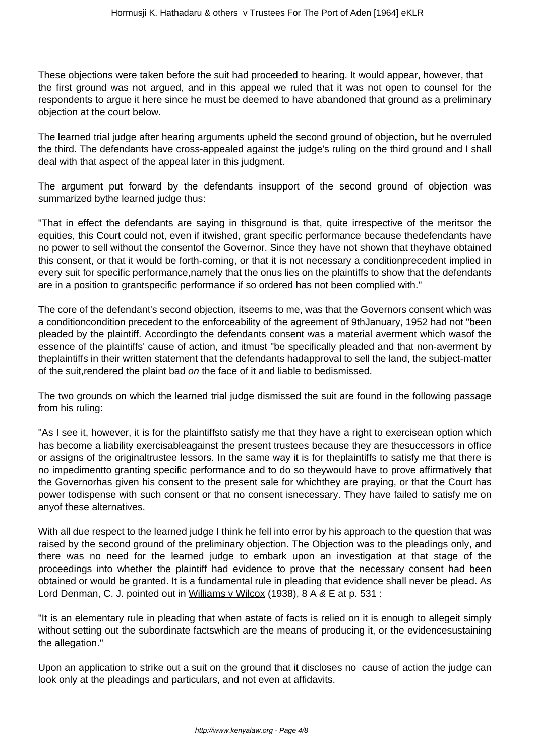These objections were taken before the suit had proceeded to hearing. It would appear, however, that the first ground was not argued, and in this appeal we ruled that it was not open to counsel for the respondents to argue it here since he must be deemed to have abandoned that ground as a preliminary objection at the court below.

The learned trial judge after hearing arguments upheld the second ground of objection, but he overruled the third. The defendants have cross-appealed against the judge's ruling on the third ground and I shall deal with that aspect of the appeal later in this judgment.

The argument put forward by the defendants insupport of the second ground of objection was summarized bythe learned judge thus:

"That in effect the defendants are saying in thisground is that, quite irrespective of the meritsor the equities, this Court could not, even if itwished, grant specific performance because thedefendants have no power to sell without the consentof the Governor. Since they have not shown that theyhave obtained this consent, or that it would be forth-coming, or that it is not necessary a conditionprecedent implied in every suit for specific performance,namely that the onus lies on the plaintiffs to show that the defendants are in a position to grantspecific performance if so ordered has not been complied with."

The core of the defendant's second objection, itseems to me, was that the Governors consent which was a conditioncondition precedent to the enforceability of the agreement of 9thJanuary, 1952 had not "been pleaded by the plaintiff. Accordingto the defendants consent was a material averment which wasof the essence of the plaintiffs' cause of action, and itmust "be specifically pleaded and that non-averment by theplaintiffs in their written statement that the defendants hadapproval to sell the land, the subject-matter of the suit,rendered the plaint bad on the face of it and liable to bedismissed.

The two grounds on which the learned trial judge dismissed the suit are found in the following passage from his ruling:

"As I see it, however, it is for the plaintiffsto satisfy me that they have a right to exercisean option which has become a liability exercisableagainst the present trustees because they are thesuccessors in office or assigns of the originaltrustee lessors. In the same way it is for theplaintiffs to satisfy me that there is no impedimentto granting specific performance and to do so theywould have to prove affirmatively that the Governorhas given his consent to the present sale for whichthey are praying, or that the Court has power todispense with such consent or that no consent isnecessary. They have failed to satisfy me on anyof these alternatives.

With all due respect to the learned judge I think he fell into error by his approach to the question that was raised by the second ground of the preliminary objection. The Objection was to the pleadings only, and there was no need for the learned judge to embark upon an investigation at that stage of the proceedings into whether the plaintiff had evidence to prove that the necessary consent had been obtained or would be granted. It is a fundamental rule in pleading that evidence shall never be plead. As Lord Denman, C. J. pointed out in Williams v Wilcox (1938), 8 A & E at p. 531 :

"It is an elementary rule in pleading that when astate of facts is relied on it is enough to allegeit simply without setting out the subordinate factswhich are the means of producing it, or the evidencesustaining the allegation."

Upon an application to strike out a suit on the ground that it discloses no cause of action the judge can look only at the pleadings and particulars, and not even at affidavits.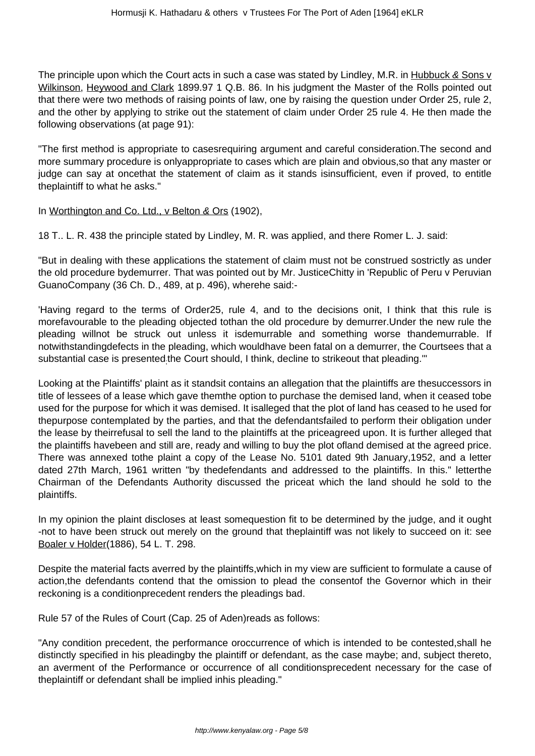The principle upon which the Court acts in such a case was stated by Lindley, M.R. in Hubbuck & Sons v Wilkinson, Heywood and Clark 1899.97 1 Q.B. 86. In his judgment the Master of the Rolls pointed out that there were two methods of raising points of law, one by raising the question under Order 25, rule 2, and the other by applying to strike out the statement of claim under Order 25 rule 4. He then made the following observations (at page 91):

"The first method is appropriate to casesrequiring argument and careful consideration.The second and more summary procedure is onlyappropriate to cases which are plain and obvious,so that any master or judge can say at oncethat the statement of claim as it stands isinsufficient, even if proved, to entitle theplaintiff to what he asks."

In Worthington and Co. Ltd., v Belton & Ors (1902),

18 T.. L. R. 438 the principle stated by Lindley, M. R. was applied, and there Romer L. J. said:

"But in dealing with these applications the statement of claim must not be construed sostrictly as under the old procedure bydemurrer. That was pointed out by Mr. JusticeChitty in 'Republic of Peru v Peruvian GuanoCompany (36 Ch. D., 489, at p. 496), wherehe said:-

'Having regard to the terms of Order25, rule 4, and to the decisions onit, I think that this rule is morefavourable to the pleading objected tothan the old procedure by demurrer.Under the new rule the pleading willnot be struck out unless it isdemurrable and something worse thandemurrable. If notwithstandingdefects in the pleading, which wouldhave been fatal on a demurrer, the Courtsees that a substantial case is presented<sub>;</sub>the Court should, I think, decline to strikeout that pleading.""

Looking at the Plaintiffs' plaint as it standsit contains an allegation that the plaintiffs are thesuccessors in title of lessees of a lease which gave themthe option to purchase the demised land, when it ceased tobe used for the purpose for which it was demised. It isalleged that the plot of land has ceased to he used for thepurpose contemplated by the parties, and that the defendantsfailed to perform their obligation under the lease by theirrefusal to sell the land to the plaintiffs at the priceagreed upon. It is further alleged that the plaintiffs havebeen and still are, ready and willing to buy the plot ofland demised at the agreed price. There was annexed tothe plaint a copy of the Lease No. 5101 dated 9th January,1952, and a letter dated 27th March, 1961 written "by thedefendants and addressed to the plaintiffs. In this." letterthe Chairman of the Defendants Authority discussed the priceat which the land should he sold to the plaintiffs.

In my opinion the plaint discloses at least somequestion fit to be determined by the judge, and it ought -not to have been struck out merely on the ground that theplaintiff was not likely to succeed on it: see Boaler v Holder(1886), 54 L. T. 298.

Despite the material facts averred by the plaintiffs,which in my view are sufficient to formulate a cause of action,the defendants contend that the omission to plead the consentof the Governor which in their reckoning is a conditionprecedent renders the pleadings bad.

Rule 57 of the Rules of Court (Cap. 25 of Aden)reads as follows:

"Any condition precedent, the performance oroccurrence of which is intended to be contested,shall he distinctly specified in his pleadingby the plaintiff or defendant, as the case maybe; and, subject thereto, an averment of the Performance or occurrence of all conditionsprecedent necessary for the case of theplaintiff or defendant shall be implied inhis pleading."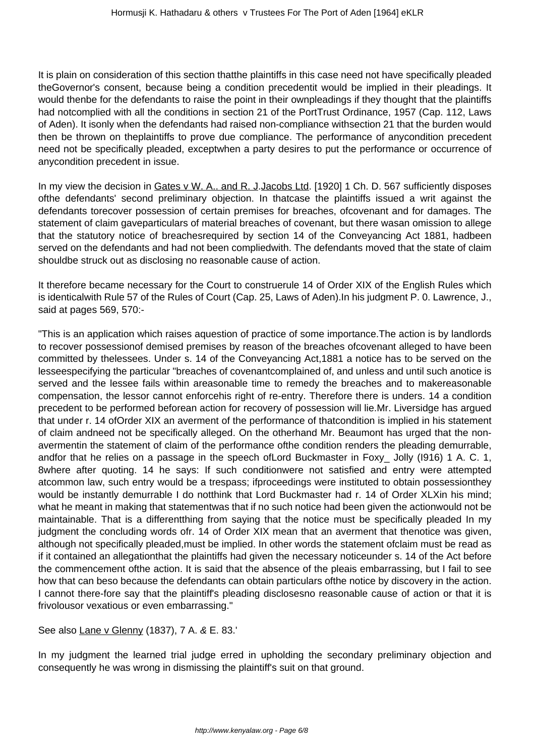It is plain on consideration of this section thatthe plaintiffs in this case need not have specifically pleaded theGovernor's consent, because being a condition precedentit would be implied in their pleadings. It would thenbe for the defendants to raise the point in their ownpleadings if they thought that the plaintiffs had notcomplied with all the conditions in section 21 of the PortTrust Ordinance, 1957 (Cap. 112, Laws of Aden). It isonly when the defendants had raised non-compliance withsection 21 that the burden would then be thrown on theplaintiffs to prove due compliance. The performance of anycondition precedent need not be specifically pleaded, exceptwhen a party desires to put the performance or occurrence of anycondition precedent in issue.

In my view the decision in Gates v W. A.. and R. J. Jacobs Ltd. [1920] 1 Ch. D. 567 sufficiently disposes ofthe defendants' second preliminary objection. In thatcase the plaintiffs issued a writ against the defendants torecover possession of certain premises for breaches, ofcovenant and for damages. The statement of claim gaveparticulars of material breaches of covenant, but there wasan omission to allege that the statutory notice of breachesrequired by section 14 of the Conveyancing Act 1881, hadbeen served on the defendants and had not been compliedwith. The defendants moved that the state of claim shouldbe struck out as disclosing no reasonable cause of action.

It therefore became necessary for the Court to construerule 14 of Order XIX of the English Rules which is identicalwith Rule 57 of the Rules of Court (Cap. 25, Laws of Aden).In his judgment P. 0. Lawrence, J., said at pages 569, 570:-

"This is an application which raises aquestion of practice of some importance.The action is by landlords to recover possessionof demised premises by reason of the breaches ofcovenant alleged to have been committed by thelessees. Under s. 14 of the Conveyancing Act,1881 a notice has to be served on the lesseespecifying the particular "breaches of covenantcomplained of, and unless and until such anotice is served and the lessee fails within areasonable time to remedy the breaches and to makereasonable compensation, the lessor cannot enforcehis right of re-entry. Therefore there is unders. 14 a condition precedent to be performed beforean action for recovery of possession will lie.Mr. Liversidge has argued that under r. 14 ofOrder XIX an averment of the performance of thatcondition is implied in his statement of claim andneed not be specifically alleged. On the otherhand Mr. Beaumont has urged that the nonavermentin the statement of claim of the performance ofthe condition renders the pleading demurrable, andfor that he relies on a passage in the speech ofLord Buckmaster in Foxy\_ Jolly (I916) 1 A. C. 1, 8where after quoting. 14 he says: If such conditionwere not satisfied and entry were attempted atcommon law, such entry would be a trespass; ifproceedings were instituted to obtain possessionthey would be instantly demurrable I do notthink that Lord Buckmaster had r. 14 of Order XLXin his mind; what he meant in making that statementwas that if no such notice had been given the actionwould not be maintainable. That is a differentthing from saying that the notice must be specifically pleaded In my judgment the concluding words ofr. 14 of Order XIX mean that an averment that thenotice was given, although not specifically pleaded,must be implied. In other words the statement ofclaim must be read as if it contained an allegationthat the plaintiffs had given the necessary noticeunder s. 14 of the Act before the commencement ofthe action. It is said that the absence of the pleais embarrassing, but I fail to see how that can beso because the defendants can obtain particulars ofthe notice by discovery in the action. I cannot there-fore say that the plaintiff's pleading disclosesno reasonable cause of action or that it is frivolousor vexatious or even embarrassing."

See also Lane v Glenny (1837), 7 A. & E. 83.'

In my judgment the learned trial judge erred in upholding the secondary preliminary objection and consequently he was wrong in dismissing the plaintiff's suit on that ground.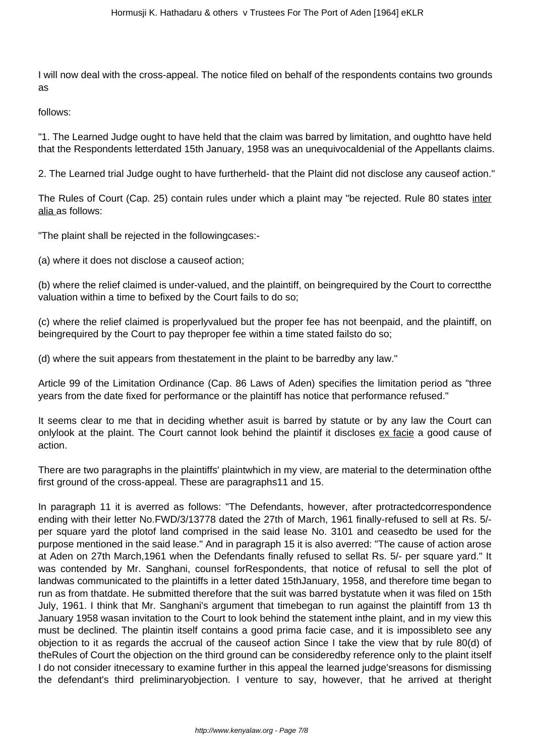I will now deal with the cross-appeal. The notice filed on behalf of the respondents contains two grounds as

follows:

"1. The Learned Judge ought to have held that the claim was barred by limitation, and oughtto have held that the Respondents letterdated 15th January, 1958 was an unequivocaldenial of the Appellants claims.

2. The Learned trial Judge ought to have furtherheld- that the Plaint did not disclose any causeof action."

The Rules of Court (Cap. 25) contain rules under which a plaint may "be rejected. Rule 80 states inter alia as follows:

"The plaint shall be rejected in the followingcases:-

(a) where it does not disclose a causeof action;

(b) where the relief claimed is under-valued, and the plaintiff, on beingrequired by the Court to correctthe valuation within a time to befixed by the Court fails to do so;

(c) where the relief claimed is properlyvalued but the proper fee has not beenpaid, and the plaintiff, on beingrequired by the Court to pay theproper fee within a time stated failsto do so;

(d) where the suit appears from thestatement in the plaint to be barredby any law."

Article 99 of the Limitation Ordinance (Cap. 86 Laws of Aden) specifies the limitation period as "three years from the date fixed for performance or the plaintiff has notice that performance refused."

It seems clear to me that in deciding whether asuit is barred by statute or by any law the Court can onlylook at the plaint. The Court cannot look behind the plaintif it discloses ex facie a good cause of action.

There are two paragraphs in the plaintiffs' plaintwhich in my view, are material to the determination ofthe first ground of the cross-appeal. These are paragraphs11 and 15.

In paragraph 11 it is averred as follows: "The Defendants, however, after protractedcorrespondence ending with their letter No.FWD/3/13778 dated the 27th of March, 1961 finally-refused to sell at Rs. 5/ per square yard the plotof land comprised in the said lease No. 3101 and ceasedto be used for the purpose mentioned in the said lease." And in paragraph 15 it is also averred: "The cause of action arose at Aden on 27th March,1961 when the Defendants finally refused to sellat Rs. 5/- per square yard." It was contended by Mr. Sanghani, counsel forRespondents, that notice of refusal to sell the plot of landwas communicated to the plaintiffs in a letter dated 15thJanuary, 1958, and therefore time began to run as from thatdate. He submitted therefore that the suit was barred bystatute when it was filed on 15th July, 1961. I think that Mr. Sanghani's argument that timebegan to run against the plaintiff from 13 th January 1958 wasan invitation to the Court to look behind the statement inthe plaint, and in my view this must be declined. The plaintin itself contains a good prima facie case, and it is impossibleto see any objection to it as regards the accrual of the causeof action Since I take the view that by rule 80(d) of theRules of Court the objection on the third ground can be consideredby reference only to the plaint itself I do not consider itnecessary to examine further in this appeal the learned judge'sreasons for dismissing the defendant's third preliminaryobjection. I venture to say, however, that he arrived at theright